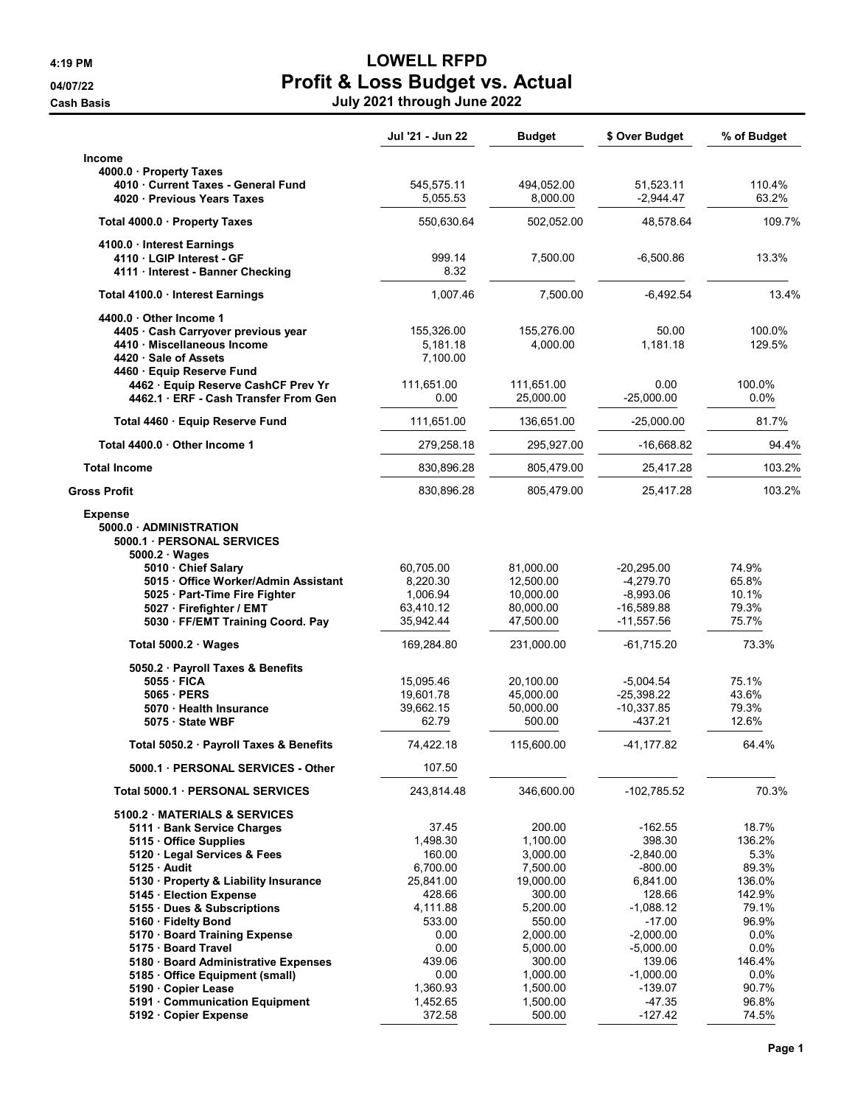## 4:19 PM LOWELL RFPD 04/07/22 **Profit & Loss Budget vs. Actual** Cash Basis July 2021 through June 2022

|                                                                     | Jul '21 - Jun 22       | <b>Budget</b>          | \$ Over Budget             | % of Budget      |
|---------------------------------------------------------------------|------------------------|------------------------|----------------------------|------------------|
| Income                                                              |                        |                        |                            |                  |
| 4000.0 · Property Taxes                                             |                        |                        |                            |                  |
| 4010 Current Taxes - General Fund<br>4020 Previous Years Taxes      | 545,575.11<br>5,055.53 | 494,052.00<br>8,000.00 | 51,523.11<br>$-2,944.47$   | 110.4%<br>63.2%  |
| Total 4000.0 · Property Taxes                                       | 550,630.64             | 502,052.00             | 48,578.64                  | 109.7%           |
| 4100.0 Interest Earnings<br>4110 · LGIP Interest - GF               | 999.14                 | 7,500.00               | $-6,500.86$                | 13.3%            |
| 4111 · Interest - Banner Checking                                   | 8.32                   |                        |                            |                  |
| Total 4100.0 Interest Earnings                                      | 1,007.46               | 7,500.00               | $-6,492.54$                | 13.4%            |
| 4400.0 Other Income 1                                               |                        |                        |                            |                  |
| 4405 · Cash Carryover previous year<br>4410 · Miscellaneous Income  | 155,326.00<br>5,181.18 | 155,276.00<br>4,000.00 | 50.00<br>1,181.18          | 100.0%<br>129.5% |
| 4420 Sale of Assets                                                 | 7,100.00               |                        |                            |                  |
| 4460 · Equip Reserve Fund                                           |                        |                        |                            |                  |
| 4462 · Equip Reserve CashCF Prev Yr                                 | 111,651.00             | 111,651.00             | 0.00                       | 100.0%           |
| 4462.1 ERF - Cash Transfer From Gen                                 | 0.00                   | 25,000.00              | $-25,000.00$               | $0.0\%$          |
| Total 4460 · Equip Reserve Fund                                     | 111,651.00             | 136,651.00             | $-25,000.00$               | 81.7%            |
| Total 4400.0 Other Income 1                                         | 279,258.18             | 295,927.00             | $-16,668.82$               | 94.4%            |
| <b>Total Income</b>                                                 | 830,896.28             | 805,479.00             | 25,417.28                  | 103.2%           |
| Gross Profit                                                        | 830,896.28             | 805,479.00             | 25,417.28                  | 103.2%           |
| <b>Expense</b><br>5000.0 ADMINISTRATION<br>5000.1 PERSONAL SERVICES |                        |                        |                            |                  |
| 5000.2 · Wages                                                      |                        |                        |                            |                  |
| 5010 Chief Salary                                                   | 60,705.00              | 81,000.00              | $-20,295.00$               | 74.9%<br>65.8%   |
| 5015 Office Worker/Admin Assistant<br>5025 · Part-Time Fire Fighter | 8,220.30<br>1,006.94   | 12,500.00<br>10,000.00 | $-4,279.70$<br>$-8,993.06$ | 10.1%            |
| 5027 · Firefighter / EMT                                            | 63,410.12              | 80,000.00              | $-16,589.88$               | 79.3%            |
| 5030 · FF/EMT Training Coord. Pay                                   | 35,942.44              | 47,500.00              | $-11,557.56$               | 75.7%            |
| Total $5000.2 \cdot Wages$                                          | 169,284.80             | 231,000.00             | -61,715.20                 | 73.3%            |
| 5050.2 · Payroll Taxes & Benefits                                   |                        |                        |                            |                  |
| 5055 · FICA                                                         | 15,095.46              | 20,100.00              | $-5,004.54$                | 75.1%            |
| 5065 PERS                                                           | 19,601.78              | 45,000.00              | $-25,398.22$               | 43.6%            |
| 5070 · Health Insurance<br>5075 · State WBF                         | 39,662.15<br>62.79     | 50,000.00<br>500.00    | $-10,337.85$<br>-437.21    | 79.3%<br>12.6%   |
| Total 5050.2 · Payroll Taxes & Benefits                             | 74,422.18              | 115,600.00             | $-41, 177.82$              | 64.4%            |
| 5000.1 PERSONAL SERVICES - Other                                    | 107.50                 |                        |                            |                  |
| Total 5000.1 PERSONAL SERVICES                                      | 243,814.48             | 346,600.00             | $-102,785.52$              | 70.3%            |
| 5100.2 MATERIALS & SERVICES                                         |                        |                        |                            |                  |
| 5111 · Bank Service Charges                                         | 37.45                  | 200.00                 | $-162.55$                  | 18.7%            |
| 5115 Office Supplies                                                | 1,498.30               | 1,100.00               | 398.30<br>$-2.840.00$      | 136.2%           |
| 5120 · Legal Services & Fees<br>5125 Audit                          | 160.00<br>6,700.00     | 3,000.00<br>7,500.00   | -800.00                    | 5.3%<br>89.3%    |
| 5130 · Property & Liability Insurance                               | 25,841.00              | 19,000.00              | 6,841.00                   | 136.0%           |
| 5145 · Election Expense                                             | 428.66                 | 300.00                 | 128.66                     | 142.9%           |
| 5155 · Dues & Subscriptions                                         | 4,111.88               | 5,200.00               | $-1,088.12$                | 79.1%            |
| 5160 · Fidelty Bond                                                 | 533.00                 | 550.00                 | $-17.00$                   | 96.9%            |
| 5170 · Board Training Expense                                       | 0.00                   | 2,000.00               | $-2,000.00$                | $0.0\%$          |
| 5175 · Board Travel                                                 | 0.00                   | 5,000.00               | $-5,000.00$                | $0.0\%$          |
| 5180 · Board Administrative Expenses                                | 439.06                 | 300.00                 | 139.06                     | 146.4%           |
| 5185 Office Equipment (small)                                       | 0.00                   | 1,000.00               | $-1,000.00$                | $0.0\%$          |
| 5190 · Copier Lease                                                 | 1,360.93               | 1,500.00               | $-139.07$                  | 90.7%            |
| 5191 · Communication Equipment                                      | 1,452.65               | 1,500.00               | $-47.35$                   | 96.8%            |
| 5192 · Copier Expense                                               | 372.58                 | 500.00                 | $-127.42$                  | 74.5%            |